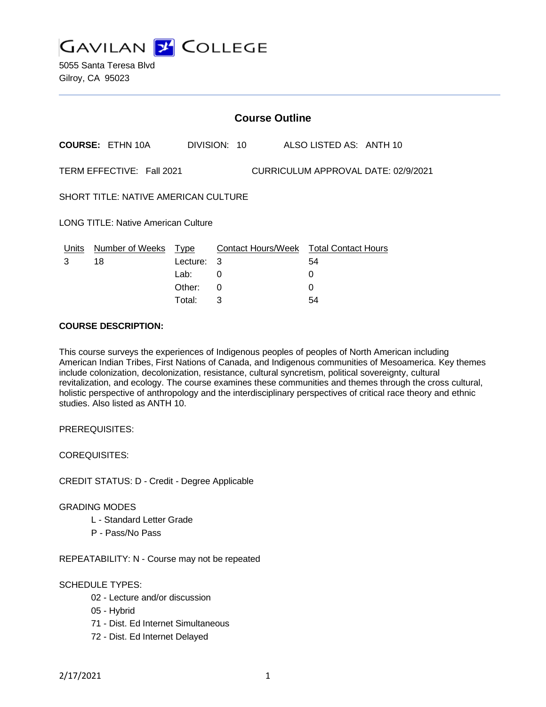**GAVILAN 2 COLLEGE** 

5055 Santa Teresa Blvd Gilroy, CA 95023

| <b>Course Outline</b>                                            |                         |             |              |  |                                        |
|------------------------------------------------------------------|-------------------------|-------------|--------------|--|----------------------------------------|
|                                                                  | <b>COURSE: ETHN 10A</b> |             | DIVISION: 10 |  | ALSO LISTED AS: ANTH 10                |
| TERM EFFECTIVE: Fall 2021<br>CURRICULUM APPROVAL DATE: 02/9/2021 |                         |             |              |  |                                        |
| <b>SHORT TITLE: NATIVE AMERICAN CULTURE</b>                      |                         |             |              |  |                                        |
| <b>LONG TITLE: Native American Culture</b>                       |                         |             |              |  |                                        |
| Units                                                            | Number of Weeks         | <u>Type</u> |              |  | Contact Hours/Week Total Contact Hours |
| 3                                                                | 18                      | Lecture:    | -3           |  | 54                                     |
|                                                                  |                         | Lab:        | 0            |  | 0                                      |
|                                                                  |                         | Other:      | 0            |  | 0                                      |
|                                                                  |                         | Total:      | 3            |  | 54                                     |

### **COURSE DESCRIPTION:**

This course surveys the experiences of Indigenous peoples of peoples of North American including American Indian Tribes, First Nations of Canada, and Indigenous communities of Mesoamerica. Key themes include colonization, decolonization, resistance, cultural syncretism, political sovereignty, cultural revitalization, and ecology. The course examines these communities and themes through the cross cultural, holistic perspective of anthropology and the interdisciplinary perspectives of critical race theory and ethnic studies. Also listed as ANTH 10.

PREREQUISITES:

COREQUISITES:

CREDIT STATUS: D - Credit - Degree Applicable

### GRADING MODES

- L Standard Letter Grade
- P Pass/No Pass

REPEATABILITY: N - Course may not be repeated

### SCHEDULE TYPES:

- 02 Lecture and/or discussion
- 05 Hybrid
- 71 Dist. Ed Internet Simultaneous
- 72 Dist. Ed Internet Delayed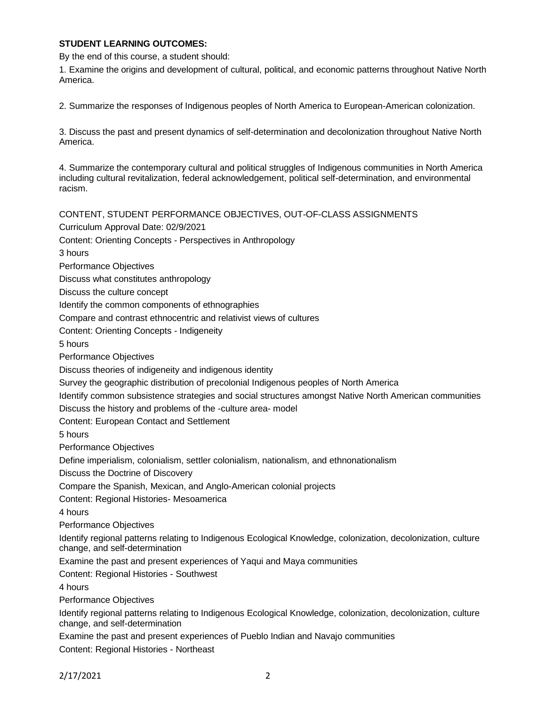## **STUDENT LEARNING OUTCOMES:**

By the end of this course, a student should:

1. Examine the origins and development of cultural, political, and economic patterns throughout Native North America.

2. Summarize the responses of Indigenous peoples of North America to European-American colonization.

3. Discuss the past and present dynamics of self-determination and decolonization throughout Native North America.

4. Summarize the contemporary cultural and political struggles of Indigenous communities in North America including cultural revitalization, federal acknowledgement, political self-determination, and environmental racism.

CONTENT, STUDENT PERFORMANCE OBJECTIVES, OUT-OF-CLASS ASSIGNMENTS Curriculum Approval Date: 02/9/2021 Content: Orienting Concepts - Perspectives in Anthropology 3 hours Performance Objectives Discuss what constitutes anthropology Discuss the culture concept Identify the common components of ethnographies Compare and contrast ethnocentric and relativist views of cultures Content: Orienting Concepts - Indigeneity 5 hours Performance Objectives Discuss theories of indigeneity and indigenous identity Survey the geographic distribution of precolonial Indigenous peoples of North America Identify common subsistence strategies and social structures amongst Native North American communities Discuss the history and problems of the -culture area- model Content: European Contact and Settlement 5 hours Performance Objectives Define imperialism, colonialism, settler colonialism, nationalism, and ethnonationalism Discuss the Doctrine of Discovery Compare the Spanish, Mexican, and Anglo-American colonial projects Content: Regional Histories- Mesoamerica 4 hours Performance Objectives Identify regional patterns relating to Indigenous Ecological Knowledge, colonization, decolonization, culture change, and self-determination Examine the past and present experiences of Yaqui and Maya communities Content: Regional Histories - Southwest 4 hours Performance Objectives Identify regional patterns relating to Indigenous Ecological Knowledge, colonization, decolonization, culture change, and self-determination Examine the past and present experiences of Pueblo Indian and Navajo communities Content: Regional Histories - Northeast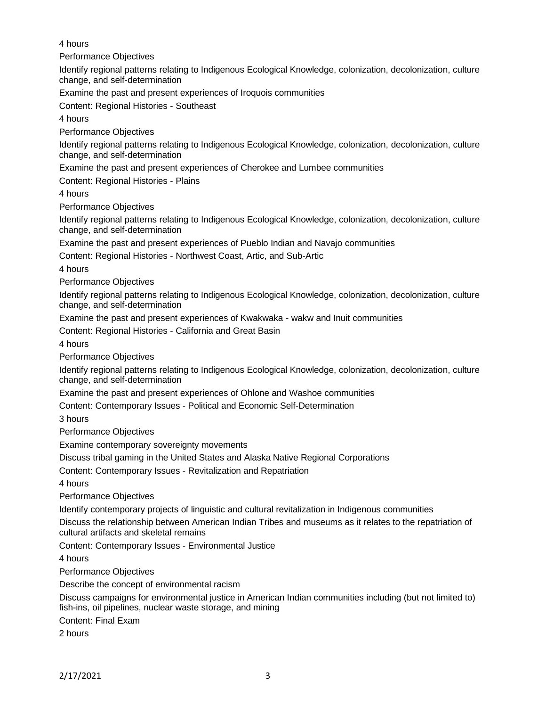4 hours

Performance Objectives

Identify regional patterns relating to Indigenous Ecological Knowledge, colonization, decolonization, culture change, and self-determination

Examine the past and present experiences of Iroquois communities

Content: Regional Histories - Southeast

4 hours

Performance Objectives

Identify regional patterns relating to Indigenous Ecological Knowledge, colonization, decolonization, culture change, and self-determination

Examine the past and present experiences of Cherokee and Lumbee communities

Content: Regional Histories - Plains

4 hours

Performance Objectives

Identify regional patterns relating to Indigenous Ecological Knowledge, colonization, decolonization, culture change, and self-determination

Examine the past and present experiences of Pueblo Indian and Navajo communities

Content: Regional Histories - Northwest Coast, Artic, and Sub-Artic

4 hours

Performance Objectives

Identify regional patterns relating to Indigenous Ecological Knowledge, colonization, decolonization, culture change, and self-determination

Examine the past and present experiences of Kwakwaka - wakw and Inuit communities

Content: Regional Histories - California and Great Basin

4 hours

Performance Objectives

Identify regional patterns relating to Indigenous Ecological Knowledge, colonization, decolonization, culture change, and self-determination

Examine the past and present experiences of Ohlone and Washoe communities

Content: Contemporary Issues - Political and Economic Self-Determination

3 hours

Performance Objectives

Examine contemporary sovereignty movements

Discuss tribal gaming in the United States and Alaska Native Regional Corporations

Content: Contemporary Issues - Revitalization and Repatriation

4 hours

Performance Objectives

Identify contemporary projects of linguistic and cultural revitalization in Indigenous communities

Discuss the relationship between American Indian Tribes and museums as it relates to the repatriation of cultural artifacts and skeletal remains

Content: Contemporary Issues - Environmental Justice

4 hours

Performance Objectives

Describe the concept of environmental racism

Discuss campaigns for environmental justice in American Indian communities including (but not limited to) fish-ins, oil pipelines, nuclear waste storage, and mining

Content: Final Exam

2 hours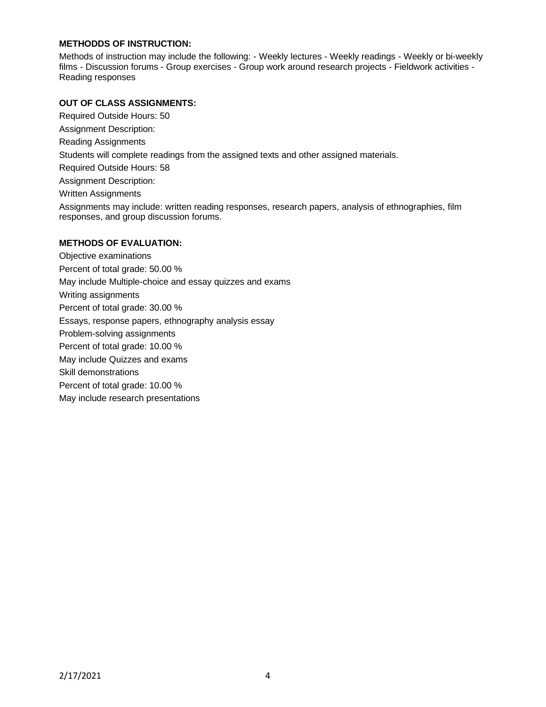## **METHODDS OF INSTRUCTION:**

Methods of instruction may include the following: - Weekly lectures - Weekly readings - Weekly or bi-weekly films - Discussion forums - Group exercises - Group work around research projects - Fieldwork activities - Reading responses

## **OUT OF CLASS ASSIGNMENTS:**

Required Outside Hours: 50 Assignment Description: Reading Assignments Students will complete readings from the assigned texts and other assigned materials. Required Outside Hours: 58 Assignment Description: Written Assignments Assignments may include: written reading responses, research papers, analysis of ethnographies, film responses, and group discussion forums. **METHODS OF EVALUATION:**

Objective examinations Percent of total grade: 50.00 % May include Multiple-choice and essay quizzes and exams Writing assignments Percent of total grade: 30.00 % Essays, response papers, ethnography analysis essay Problem-solving assignments Percent of total grade: 10.00 % May include Quizzes and exams Skill demonstrations Percent of total grade: 10.00 % May include research presentations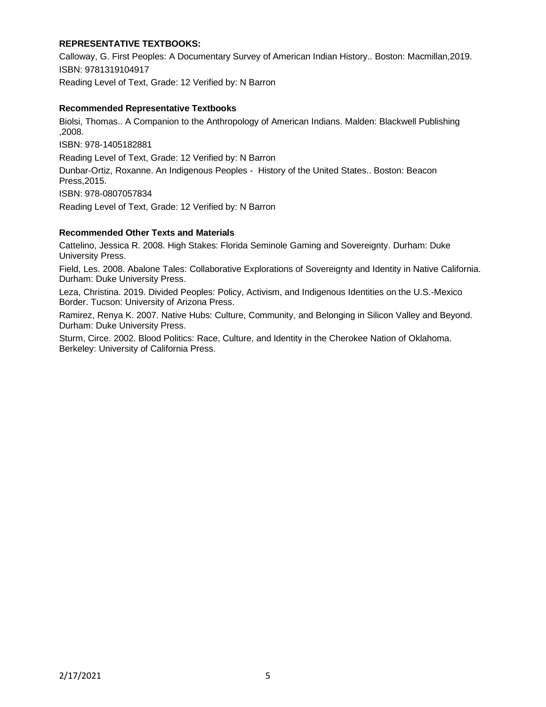# **REPRESENTATIVE TEXTBOOKS:**

Calloway, G. First Peoples: A Documentary Survey of American Indian History.. Boston: Macmillan,2019. ISBN: 9781319104917

Reading Level of Text, Grade: 12 Verified by: N Barron

### **Recommended Representative Textbooks**

Biolsi, Thomas.. A Companion to the Anthropology of American Indians. Malden: Blackwell Publishing ,2008.

ISBN: 978-1405182881

Reading Level of Text, Grade: 12 Verified by: N Barron

Dunbar-Ortiz, Roxanne. An Indigenous Peoples - History of the United States.. Boston: Beacon Press,2015.

ISBN: 978-0807057834

Reading Level of Text, Grade: 12 Verified by: N Barron

# **Recommended Other Texts and Materials**

Cattelino, Jessica R. 2008. High Stakes: Florida Seminole Gaming and Sovereignty. Durham: Duke University Press.

Field, Les. 2008. Abalone Tales: Collaborative Explorations of Sovereignty and Identity in Native California. Durham: Duke University Press.

Leza, Christina. 2019. Divided Peoples: Policy, Activism, and Indigenous Identities on the U.S.-Mexico Border. Tucson: University of Arizona Press.

Ramirez, Renya K. 2007. Native Hubs: Culture, Community, and Belonging in Silicon Valley and Beyond. Durham: Duke University Press.

Sturm, Circe. 2002. Blood Politics: Race, Culture, and Identity in the Cherokee Nation of Oklahoma. Berkeley: University of California Press.